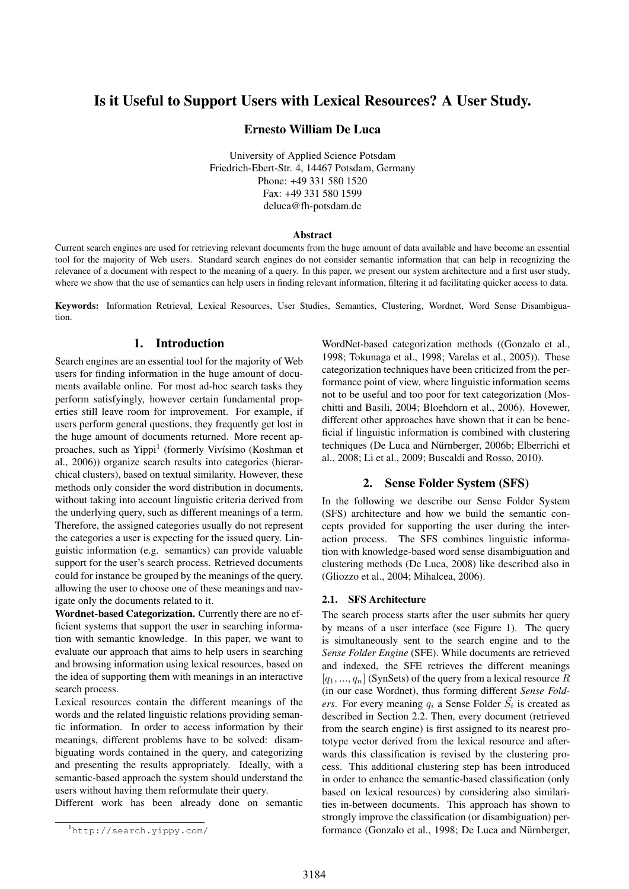# Is it Useful to Support Users with Lexical Resources? A User Study.

## Ernesto William De Luca

University of Applied Science Potsdam Friedrich-Ebert-Str. 4, 14467 Potsdam, Germany Phone: +49 331 580 1520 Fax: +49 331 580 1599 deluca@fh-potsdam.de

#### Abstract

Current search engines are used for retrieving relevant documents from the huge amount of data available and have become an essential tool for the majority of Web users. Standard search engines do not consider semantic information that can help in recognizing the relevance of a document with respect to the meaning of a query. In this paper, we present our system architecture and a first user study, where we show that the use of semantics can help users in finding relevant information, filtering it ad facilitating quicker access to data.

Keywords: Information Retrieval, Lexical Resources, User Studies, Semantics, Clustering, Wordnet, Word Sense Disambiguation.

## 1. Introduction

Search engines are an essential tool for the majority of Web users for finding information in the huge amount of documents available online. For most ad-hoc search tasks they perform satisfyingly, however certain fundamental properties still leave room for improvement. For example, if users perform general questions, they frequently get lost in the huge amount of documents returned. More recent approaches, such as Yippi<sup>1</sup> (formerly Vivísimo (Koshman et al., 2006)) organize search results into categories (hierarchical clusters), based on textual similarity. However, these methods only consider the word distribution in documents, without taking into account linguistic criteria derived from the underlying query, such as different meanings of a term. Therefore, the assigned categories usually do not represent the categories a user is expecting for the issued query. Linguistic information (e.g. semantics) can provide valuable support for the user's search process. Retrieved documents could for instance be grouped by the meanings of the query, allowing the user to choose one of these meanings and navigate only the documents related to it.

Wordnet-based Categorization. Currently there are no efficient systems that support the user in searching information with semantic knowledge. In this paper, we want to evaluate our approach that aims to help users in searching and browsing information using lexical resources, based on the idea of supporting them with meanings in an interactive search process.

Lexical resources contain the different meanings of the words and the related linguistic relations providing semantic information. In order to access information by their meanings, different problems have to be solved: disambiguating words contained in the query, and categorizing and presenting the results appropriately. Ideally, with a semantic-based approach the system should understand the users without having them reformulate their query.

Different work has been already done on semantic

WordNet-based categorization methods ((Gonzalo et al., 1998; Tokunaga et al., 1998; Varelas et al., 2005)). These categorization techniques have been criticized from the performance point of view, where linguistic information seems not to be useful and too poor for text categorization (Moschitti and Basili, 2004; Bloehdorn et al., 2006). Hovewer, different other approaches have shown that it can be beneficial if linguistic information is combined with clustering techniques (De Luca and Nürnberger, 2006b; Elberrichi et al., 2008; Li et al., 2009; Buscaldi and Rosso, 2010).

## 2. Sense Folder System (SFS)

In the following we describe our Sense Folder System (SFS) architecture and how we build the semantic concepts provided for supporting the user during the interaction process. The SFS combines linguistic information with knowledge-based word sense disambiguation and clustering methods (De Luca, 2008) like described also in (Gliozzo et al., 2004; Mihalcea, 2006).

## 2.1. SFS Architecture

The search process starts after the user submits her query by means of a user interface (see Figure 1). The query is simultaneously sent to the search engine and to the *Sense Folder Engine* (SFE). While documents are retrieved and indexed, the SFE retrieves the different meanings  $[q_1, ..., q_n]$  (SynSets) of the query from a lexical resource R (in our case Wordnet), thus forming different *Sense Fold*ers. For every meaning  $q_i$  a Sense Folder  $\vec{S}_i$  is created as described in Section 2.2. Then, every document (retrieved from the search engine) is first assigned to its nearest prototype vector derived from the lexical resource and afterwards this classification is revised by the clustering process. This additional clustering step has been introduced in order to enhance the semantic-based classification (only based on lexical resources) by considering also similarities in-between documents. This approach has shown to strongly improve the classification (or disambiguation) performance (Gonzalo et al., 1998; De Luca and Nürnberger,

<sup>1</sup>http://search.yippy.com/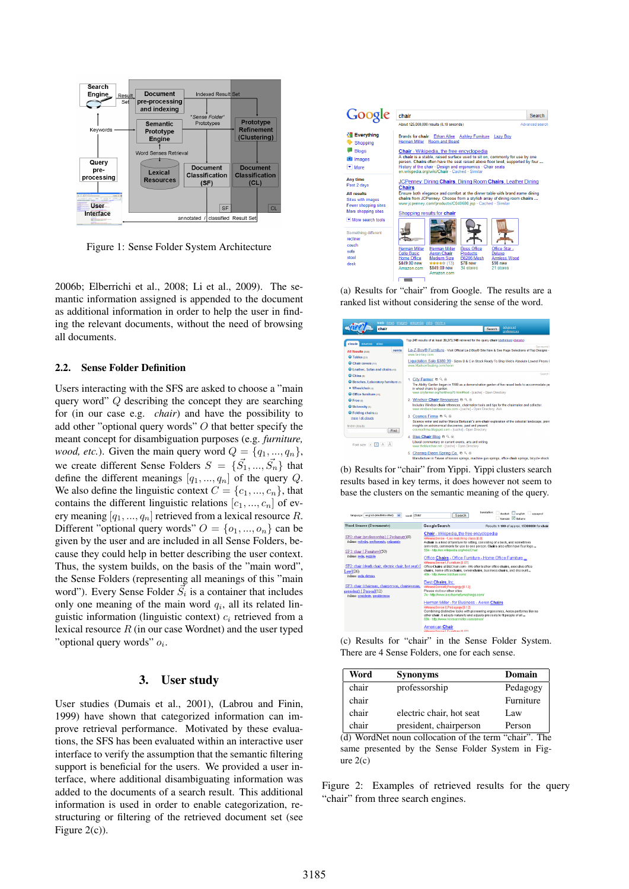

Figure 1: Sense Folder System Architecture

2006b; Elberrichi et al., 2008; Li et al., 2009). The semantic information assigned is appended to the document as additional information in order to help the user in finding the relevant documents, without the need of browsing all documents.

#### 2.2. Sense Folder Definition

Users interacting with the SFS are asked to choose a "main query word" Q describing the concept they are searching for (in our case e.g. *chair*) and have the possibility to add other "optional query words" O that better specify the meant concept for disambiguation purposes (e.g. *furniture, wood, etc.*). Given the main query word  $Q = \{q_1, ..., q_n\}$ , we create different Sense Folders  $S = \{\vec{S_1}, ..., \vec{S_n}\}\$  that define the different meanings  $[q_1, ..., q_n]$  of the query  $Q$ . We also define the linguistic context  $C = \{c_1, ..., c_n\}$ , that contains the different linguistic relations  $[c_1, ..., c_n]$  of every meaning  $[q_1, ..., q_n]$  retrieved from a lexical resource R. Different "optional query words"  $O = \{o_1, ..., o_n\}$  can be given by the user and are included in all Sense Folders, because they could help in better describing the user context. Thus, the system builds, on the basis of the "main word", the Sense Folders (representing all meanings of this "main word"). Every Sense Folder  $\vec{S}_i$  is a container that includes only one meaning of the main word  $q_i$ , all its related linguistic information (linguistic context)  $c_i$  retrieved from a lexical resource  $R$  (in our case Wordnet) and the user typed "optional query words"  $o_i$ .

#### 3. User study

User studies (Dumais et al., 2001), (Labrou and Finin, 1999) have shown that categorized information can improve retrieval performance. Motivated by these evaluations, the SFS has been evaluated within an interactive user interface to verify the assumption that the semantic filtering support is beneficial for the users. We provided a user interface, where additional disambiguating information was added to the documents of a search result. This additional information is used in order to enable categorization, restructuring or filtering of the retrieved document set (see Figure 2(c)).



(a) Results for "chair" from Google. The results are a ranked list without considering the sense of the word.

| web news images wikipedia jobs more »                                                                       |                                                                                                                                                                                                                                                                                 |  |  |
|-------------------------------------------------------------------------------------------------------------|---------------------------------------------------------------------------------------------------------------------------------------------------------------------------------------------------------------------------------------------------------------------------------|--|--|
| chair                                                                                                       | advanced<br>Search<br>preferences                                                                                                                                                                                                                                               |  |  |
| clouds<br>sources<br>sites                                                                                  | Top 241 results of at least 39,373,148 retrieved for the query chair (definition) (details).                                                                                                                                                                                    |  |  |
| remix<br>All Results (245)<br><b>O</b> Tables (23)                                                          | Spoosored I<br>La-Z-Bov® Furniture - Visit Official La-Z-Bov® Site Now & See Huge Selections of Top Designs -<br>www.la-z-boy.com<br>Liquidation Sale \$389.99 - Sizes B & C in Stock Ready To Ship Web's Absolute Lowest Prices (                                              |  |  |
| Chair covers (11)<br>C Leather. Sofas and chairs not                                                        | www.MadisonSeating.com/Aeron                                                                                                                                                                                                                                                    |  |  |
| China is<br><b>O</b> Benches, Laboratory furniture (5)<br>· Wheelchair (4)<br><b>O</b> Office furniture con | Search I<br>1. City Farmer $\mathfrak{B} \mathrel{\mathsf{Q}} \otimes$<br>The Ability Garden began in 1988 as a demonstration garden of five raised beds to accommodate pe<br>in wheel chairs to garden.<br>www.cityfarmer.org/horttherp70.html#hort - [cache] - Open Directory |  |  |
| <b>O</b> Free in<br><b>O</b> University (5)                                                                 | 2. Windsor Chair Resources & Q &<br>Includes Windsor chair references, chairmaker tools and tips for the chairmaker and collector.<br>www.windsorchairresources.com - [cache] - Open Directory, Ask                                                                             |  |  |
| <b>O</b> Folding chairs (6)<br>more I all clouds<br>find in clouds:<br><b>Find</b>                          | 3. Cosmos Firma & Q &<br>Science writer and author Marcia Bartusiak's arm-chair exploration of the celestial landscape, provi<br>insights on astronomical discoveries, past and present.<br>cosmosfirma.blogspot.com - [cache] - Open Directory                                 |  |  |
| Font size: A A A A                                                                                          | 4. Blue Chair Blog & Q &<br>Liberal commentary on current events, arts and writing.<br>www.thebluechair.net - [cache] - Open Directory                                                                                                                                          |  |  |
|                                                                                                             | 5. Chenna-Dieen Spring Co. € 9, ⊛<br>Manufacturer in Taiwan of torsion springs, machine gun springs, office chair springs, bicycle shock                                                                                                                                        |  |  |

(b) Results for "chair" from Yippi. Yippi clusters search results based in key terms, it does however not seem to base the clusters on the semantic meaning of the query.

| www.chair<br>language: english (MultiWordNet)<br>$\checkmark$                                                                                                                                                                                                                                                                                                                | Search                                                                                                                                                                                                                                                                                                                                                                                                                                                                                                                                                                                                                                                                      | translation:<br>deutsch Denglish espagnol<br><b>Sancais</b> Vitaliano                                                                                                                                                                                                                                                                                                                                            |
|------------------------------------------------------------------------------------------------------------------------------------------------------------------------------------------------------------------------------------------------------------------------------------------------------------------------------------------------------------------------------|-----------------------------------------------------------------------------------------------------------------------------------------------------------------------------------------------------------------------------------------------------------------------------------------------------------------------------------------------------------------------------------------------------------------------------------------------------------------------------------------------------------------------------------------------------------------------------------------------------------------------------------------------------------------------------|------------------------------------------------------------------------------------------------------------------------------------------------------------------------------------------------------------------------------------------------------------------------------------------------------------------------------------------------------------------------------------------------------------------|
| <b>Word Senses (Documents)</b>                                                                                                                                                                                                                                                                                                                                               | GoogleSearch                                                                                                                                                                                                                                                                                                                                                                                                                                                                                                                                                                                                                                                                | Results 1-100 of approx. 15300000 for chair                                                                                                                                                                                                                                                                                                                                                                      |
| SF0: chair (professorship) [ Pedagogy](8)<br>italiano: cattedra, professorato, ordinariato<br>SF1: chair [ Furniture](50)<br>italiano: sedia, segziola.<br>SF2: chair (death chair, electric chair, hot seat) [<br>Law(26)<br>italiano: sedia elettrica<br>SF3: chair (chairman, chairperson, chairwoman,<br>president) [ Person](12)<br>italiano: presidente, presidentessa | Chair - Wikipedia, the free encyclopedia<br>kMeansSense -1.no matching class (0.0)<br>55k - http://en.wikipedia.org/wiki/Chair<br>Office Chairs - Office Furniture - Home Office Furniture<br>kMeansSense1.Furniture I0.071<br>40k - http://www.bizchair.com/<br>Best Chairs, Inc.<br>kMeansSense0,Pedagogy [0.12]<br>Please visit our other sites:<br>7k - http://www.besthomefurnishings.com/<br>Herman Miller - for Business - Aeron Chairs<br>kMeansSense 0, Pedagogy [0.12]<br>other chair. It adapts naturally and adjusts precisely to fit people of all<br>68k - http://www.hermanmiller.com/aeron/<br><b>American Chair</b><br><b>WasneSancet Eurniture IO 071</b> | A chair is a kind of furniture for sitting, consisting of a back, and sometimes<br>arm rests, commonly for use by one person. Chairs also often have four legs<br>Office Chairs at BizChair.com - We offer leather office chairs, executive office<br>chairs, home office chairs, swivel chairs, business chairs, and discount<br>Combining distinctive looks with pioneering ergonomics, Aeron performs like no |

(c) Results for "chair" in the Sense Folder System. There are 4 Sense Folders, one for each sense.

| Word                                                  | <b>Synonyms</b>          | Domain    |  |
|-------------------------------------------------------|--------------------------|-----------|--|
| chair                                                 | professorship            | Pedagogy  |  |
| chair                                                 |                          | Furniture |  |
| chair                                                 | electric chair, hot seat | Law       |  |
| chair                                                 | president, chairperson   | Person    |  |
| (d) WordNet noun collocation of the term "chair". The |                          |           |  |
| same presented by the Sense Folder System in Fig-     |                          |           |  |
| ure 2(c)                                              |                          |           |  |

Figure 2: Examples of retrieved results for the query "chair" from three search engines.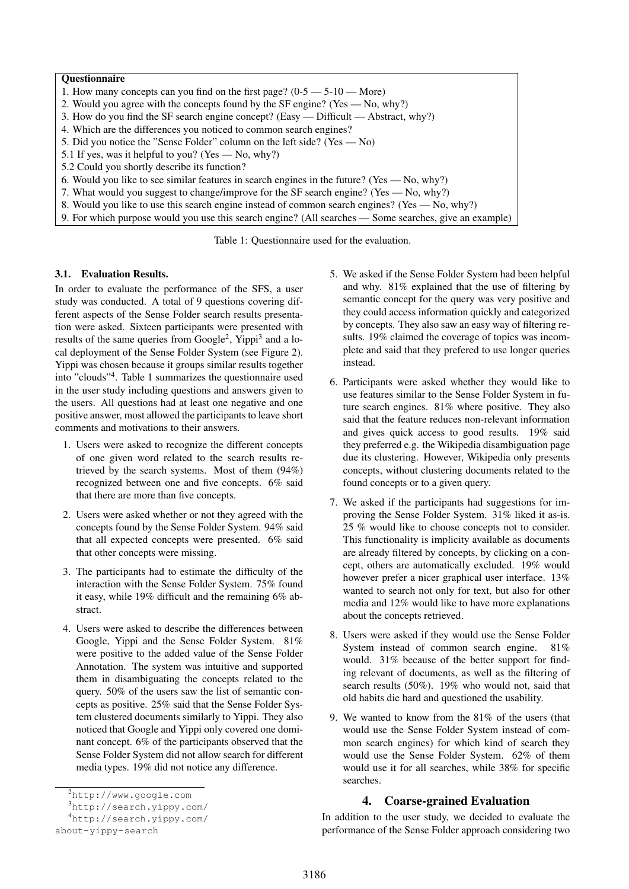## **Questionnaire**

- 1. How many concepts can you find on the first page?  $(0.5 5.10 -$  More)
- 2. Would you agree with the concepts found by the SF engine? (Yes No, why?)
- 3. How do you find the SF search engine concept? (Easy Difficult Abstract, why?)
- 4. Which are the differences you noticed to common search engines?
- 5. Did you notice the "Sense Folder" column on the left side? (Yes No)
- 5.1 If yes, was it helpful to you? (Yes No, why?)
- 5.2 Could you shortly describe its function?
- 6. Would you like to see similar features in search engines in the future? (Yes No, why?)
- 7. What would you suggest to change/improve for the SF search engine? (Yes No, why?)
- 8. Would you like to use this search engine instead of common search engines? (Yes No, why?)
- 9. For which purpose would you use this search engine? (All searches Some searches, give an example)

Table 1: Questionnaire used for the evaluation.

#### 3.1. Evaluation Results.

In order to evaluate the performance of the SFS, a user study was conducted. A total of 9 questions covering different aspects of the Sense Folder search results presentation were asked. Sixteen participants were presented with results of the same queries from Google<sup>2</sup>, Yippi<sup>3</sup> and a local deployment of the Sense Folder System (see Figure 2). Yippi was chosen because it groups similar results together into "clouds"<sup>4</sup> . Table 1 summarizes the questionnaire used in the user study including questions and answers given to the users. All questions had at least one negative and one positive answer, most allowed the participants to leave short comments and motivations to their answers.

- 1. Users were asked to recognize the different concepts of one given word related to the search results retrieved by the search systems. Most of them (94%) recognized between one and five concepts. 6% said that there are more than five concepts.
- 2. Users were asked whether or not they agreed with the concepts found by the Sense Folder System. 94% said that all expected concepts were presented. 6% said that other concepts were missing.
- 3. The participants had to estimate the difficulty of the interaction with the Sense Folder System. 75% found it easy, while 19% difficult and the remaining 6% abstract.
- 4. Users were asked to describe the differences between Google, Yippi and the Sense Folder System. 81% were positive to the added value of the Sense Folder Annotation. The system was intuitive and supported them in disambiguating the concepts related to the query. 50% of the users saw the list of semantic concepts as positive. 25% said that the Sense Folder System clustered documents similarly to Yippi. They also noticed that Google and Yippi only covered one dominant concept. 6% of the participants observed that the Sense Folder System did not allow search for different media types. 19% did not notice any difference.
- 5. We asked if the Sense Folder System had been helpful and why. 81% explained that the use of filtering by semantic concept for the query was very positive and they could access information quickly and categorized by concepts. They also saw an easy way of filtering results. 19% claimed the coverage of topics was incomplete and said that they prefered to use longer queries instead.
- 6. Participants were asked whether they would like to use features similar to the Sense Folder System in future search engines. 81% where positive. They also said that the feature reduces non-relevant information and gives quick access to good results. 19% said they preferred e.g. the Wikipedia disambiguation page due its clustering. However, Wikipedia only presents concepts, without clustering documents related to the found concepts or to a given query.
- 7. We asked if the participants had suggestions for improving the Sense Folder System. 31% liked it as-is. 25 % would like to choose concepts not to consider. This functionality is implicity available as documents are already filtered by concepts, by clicking on a concept, others are automatically excluded. 19% would however prefer a nicer graphical user interface. 13% wanted to search not only for text, but also for other media and 12% would like to have more explanations about the concepts retrieved.
- 8. Users were asked if they would use the Sense Folder System instead of common search engine. 81% would. 31% because of the better support for finding relevant of documents, as well as the filtering of search results (50%). 19% who would not, said that old habits die hard and questioned the usability.
- 9. We wanted to know from the 81% of the users (that would use the Sense Folder System instead of common search engines) for which kind of search they would use the Sense Folder System. 62% of them would use it for all searches, while 38% for specific searches.

## 4. Coarse-grained Evaluation

In addition to the user study, we decided to evaluate the performance of the Sense Folder approach considering two

<sup>2</sup>http://www.google.com

<sup>3</sup>http://search.yippy.com/

<sup>4</sup>http://search.yippy.com/

about-yippy-search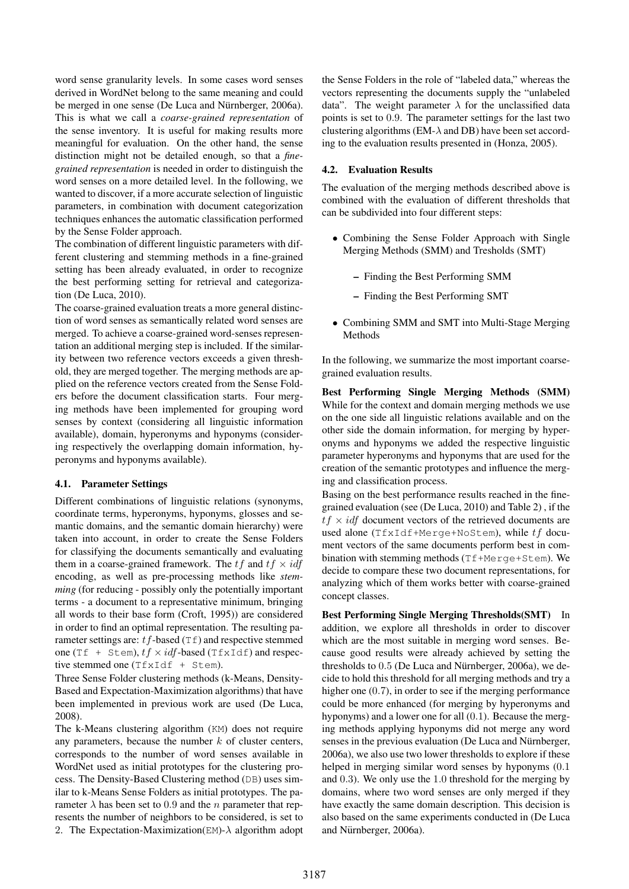word sense granularity levels. In some cases word senses derived in WordNet belong to the same meaning and could be merged in one sense (De Luca and Nürnberger, 2006a). This is what we call a *coarse-grained representation* of the sense inventory. It is useful for making results more meaningful for evaluation. On the other hand, the sense distinction might not be detailed enough, so that a *finegrained representation* is needed in order to distinguish the word senses on a more detailed level. In the following, we wanted to discover, if a more accurate selection of linguistic parameters, in combination with document categorization techniques enhances the automatic classification performed by the Sense Folder approach.

The combination of different linguistic parameters with different clustering and stemming methods in a fine-grained setting has been already evaluated, in order to recognize the best performing setting for retrieval and categorization (De Luca, 2010).

The coarse-grained evaluation treats a more general distinction of word senses as semantically related word senses are merged. To achieve a coarse-grained word-senses representation an additional merging step is included. If the similarity between two reference vectors exceeds a given threshold, they are merged together. The merging methods are applied on the reference vectors created from the Sense Folders before the document classification starts. Four merging methods have been implemented for grouping word senses by context (considering all linguistic information available), domain, hyperonyms and hyponyms (considering respectively the overlapping domain information, hyperonyms and hyponyms available).

#### 4.1. Parameter Settings

Different combinations of linguistic relations (synonyms, coordinate terms, hyperonyms, hyponyms, glosses and semantic domains, and the semantic domain hierarchy) were taken into account, in order to create the Sense Folders for classifying the documents semantically and evaluating them in a coarse-grained framework. The tf and  $tf \times idf$ encoding, as well as pre-processing methods like *stemming* (for reducing - possibly only the potentially important terms - a document to a representative minimum, bringing all words to their base form (Croft, 1995)) are considered in order to find an optimal representation. The resulting parameter settings are:  $tf$ -based ( $Tf$ ) and respective stemmed one (Tf + Stem),  $tf \times idf$ -based (TfxIdf) and respective stemmed one (TfxIdf + Stem).

Three Sense Folder clustering methods (k-Means, Density-Based and Expectation-Maximization algorithms) that have been implemented in previous work are used (De Luca, 2008).

The k-Means clustering algorithm (KM) does not require any parameters, because the number  $k$  of cluster centers, corresponds to the number of word senses available in WordNet used as initial prototypes for the clustering process. The Density-Based Clustering method (DB) uses similar to k-Means Sense Folders as initial prototypes. The parameter  $\lambda$  has been set to 0.9 and the *n* parameter that represents the number of neighbors to be considered, is set to 2. The Expectation-Maximization(EM)- $\lambda$  algorithm adopt the Sense Folders in the role of "labeled data," whereas the vectors representing the documents supply the "unlabeled data". The weight parameter  $\lambda$  for the unclassified data points is set to 0.9. The parameter settings for the last two clustering algorithms (EM- $\lambda$  and DB) have been set according to the evaluation results presented in (Honza, 2005).

#### 4.2. Evaluation Results

The evaluation of the merging methods described above is combined with the evaluation of different thresholds that can be subdivided into four different steps:

- Combining the Sense Folder Approach with Single Merging Methods (SMM) and Tresholds (SMT)
	- Finding the Best Performing SMM
	- Finding the Best Performing SMT
- Combining SMM and SMT into Multi-Stage Merging Methods

In the following, we summarize the most important coarsegrained evaluation results.

Best Performing Single Merging Methods (SMM) While for the context and domain merging methods we use on the one side all linguistic relations available and on the other side the domain information, for merging by hyperonyms and hyponyms we added the respective linguistic parameter hyperonyms and hyponyms that are used for the creation of the semantic prototypes and influence the merging and classification process.

Basing on the best performance results reached in the finegrained evaluation (see (De Luca, 2010) and Table 2) , if the  $tf \times idf$  document vectors of the retrieved documents are used alone (TfxIdf+Merge+NoStem), while tf document vectors of the same documents perform best in combination with stemming methods (Tf+Merge+Stem). We decide to compare these two document representations, for analyzing which of them works better with coarse-grained concept classes.

Best Performing Single Merging Thresholds(SMT) In addition, we explore all thresholds in order to discover which are the most suitable in merging word senses. Because good results were already achieved by setting the thresholds to  $0.5$  (De Luca and Nürnberger, 2006a), we decide to hold this threshold for all merging methods and try a higher one  $(0.7)$ , in order to see if the merging performance could be more enhanced (for merging by hyperonyms and hyponyms) and a lower one for all (0.1). Because the merging methods applying hyponyms did not merge any word senses in the previous evaluation (De Luca and Nürnberger, 2006a), we also use two lower thresholds to explore if these helped in merging similar word senses by hyponyms (0.1 and 0.3). We only use the 1.0 threshold for the merging by domains, where two word senses are only merged if they have exactly the same domain description. This decision is also based on the same experiments conducted in (De Luca and Nürnberger, 2006a).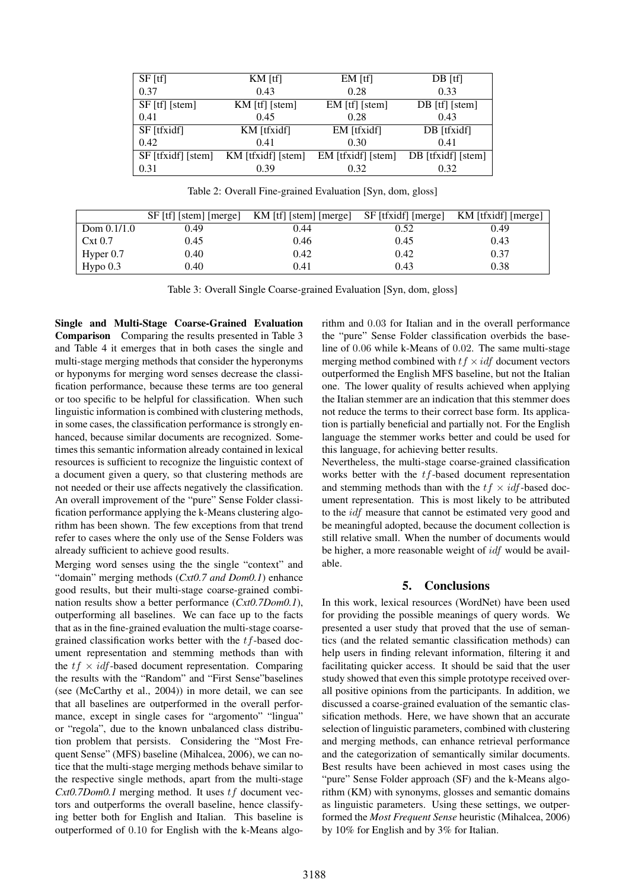| $SF$ [tf]          | $KM$ [tf]          | $EM$ [tf]          | $DB$ [tf]          |
|--------------------|--------------------|--------------------|--------------------|
| 0.37               | 0.43               | 0.28               | 0.33               |
| SF [tf] [stem]     | $KM$ [tf] [stem]   | $EM$ [tf] [stem]   | $DB$ [tf] [stem]   |
| 0.41               | 0.45               | 0.28               | 0.43               |
| SF [tfxidf]        | KM [tfxidf]        | EM [tfxidf]        | DB [tfxidf]        |
| 0.42               | 0.41               | 0.30               | 0.41               |
| SF [tfxidf] [stem] | KM [tfxidf] [stem] | EM [tfxidf] [stem] | DB [tfxidf] [stem] |
| 0.31               | 0.39               | 0.32               | 0.32               |

Table 2: Overall Fine-grained Evaluation [Syn, dom, gloss]

|                  | SF [tf] [stem] [merge] | $KM$ [tf] [stem] [merge] | SF [tfxidf] [merge] | KM [tfxidf] [merge] |
|------------------|------------------------|--------------------------|---------------------|---------------------|
| Dom $0.1/1.0$    | 0.49                   | 0.44                     | 0.52                | 0.49                |
| $\text{Cxt }0.7$ | 0.45                   | 0.46                     | 0.45                | 0.43                |
| Hyper $0.7$      | 0.40                   | 0.42                     | 0.42                | 0.37                |
| Hypo $0.3$       | 0.40                   | 0.41                     | 0.43                | 0.38                |

Table 3: Overall Single Coarse-grained Evaluation [Syn, dom, gloss]

Single and Multi-Stage Coarse-Grained Evaluation Comparison Comparing the results presented in Table 3 and Table 4 it emerges that in both cases the single and multi-stage merging methods that consider the hyperonyms or hyponyms for merging word senses decrease the classification performance, because these terms are too general or too specific to be helpful for classification. When such linguistic information is combined with clustering methods, in some cases, the classification performance is strongly enhanced, because similar documents are recognized. Sometimes this semantic information already contained in lexical resources is sufficient to recognize the linguistic context of a document given a query, so that clustering methods are not needed or their use affects negatively the classification. An overall improvement of the "pure" Sense Folder classification performance applying the k-Means clustering algorithm has been shown. The few exceptions from that trend refer to cases where the only use of the Sense Folders was already sufficient to achieve good results.

Merging word senses using the the single "context" and "domain" merging methods (*Cxt0.7 and Dom0.1*) enhance good results, but their multi-stage coarse-grained combination results show a better performance (*Cxt0.7Dom0.1*), outperforming all baselines. We can face up to the facts that as in the fine-grained evaluation the multi-stage coarsegrained classification works better with the  $tf$ -based document representation and stemming methods than with the  $tf \times idf$ -based document representation. Comparing the results with the "Random" and "First Sense"baselines (see (McCarthy et al., 2004)) in more detail, we can see that all baselines are outperformed in the overall performance, except in single cases for "argomento" "lingua" or "regola", due to the known unbalanced class distribution problem that persists. Considering the "Most Frequent Sense" (MFS) baseline (Mihalcea, 2006), we can notice that the multi-stage merging methods behave similar to the respective single methods, apart from the multi-stage  $Cx$ t0.7Dom0.1 merging method. It uses  $tf$  document vectors and outperforms the overall baseline, hence classifying better both for English and Italian. This baseline is outperformed of 0.10 for English with the k-Means algorithm and 0.03 for Italian and in the overall performance the "pure" Sense Folder classification overbids the baseline of 0.06 while k-Means of 0.02. The same multi-stage merging method combined with  $tf \times idf$  document vectors outperformed the English MFS baseline, but not the Italian one. The lower quality of results achieved when applying the Italian stemmer are an indication that this stemmer does not reduce the terms to their correct base form. Its application is partially beneficial and partially not. For the English language the stemmer works better and could be used for this language, for achieving better results.

Nevertheless, the multi-stage coarse-grained classification works better with the tf-based document representation and stemming methods than with the  $tf \times idf$ -based document representation. This is most likely to be attributed to the *idf* measure that cannot be estimated very good and be meaningful adopted, because the document collection is still relative small. When the number of documents would be higher, a more reasonable weight of idf would be available.

## 5. Conclusions

In this work, lexical resources (WordNet) have been used for providing the possible meanings of query words. We presented a user study that proved that the use of semantics (and the related semantic classification methods) can help users in finding relevant information, filtering it and facilitating quicker access. It should be said that the user study showed that even this simple prototype received overall positive opinions from the participants. In addition, we discussed a coarse-grained evaluation of the semantic classification methods. Here, we have shown that an accurate selection of linguistic parameters, combined with clustering and merging methods, can enhance retrieval performance and the categorization of semantically similar documents. Best results have been achieved in most cases using the "pure" Sense Folder approach (SF) and the k-Means algorithm (KM) with synonyms, glosses and semantic domains as linguistic parameters. Using these settings, we outperformed the *Most Frequent Sense* heuristic (Mihalcea, 2006) by 10% for English and by 3% for Italian.